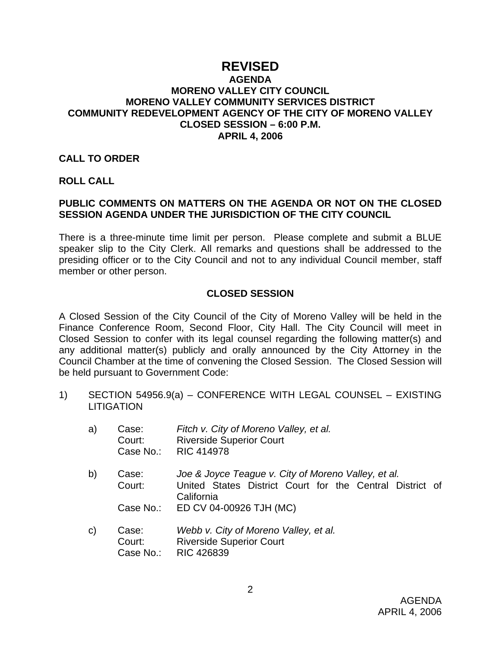# **REVISED**

## **AGENDA MORENO VALLEY CITY COUNCIL MORENO VALLEY COMMUNITY SERVICES DISTRICT COMMUNITY REDEVELOPMENT AGENCY OF THE CITY OF MORENO VALLEY CLOSED SESSION – 6:00 P.M. APRIL 4, 2006**

#### **CALL TO ORDER**

#### **ROLL CALL**

## **PUBLIC COMMENTS ON MATTERS ON THE AGENDA OR NOT ON THE CLOSED SESSION AGENDA UNDER THE JURISDICTION OF THE CITY COUNCIL**

There is a three-minute time limit per person. Please complete and submit a BLUE speaker slip to the City Clerk. All remarks and questions shall be addressed to the presiding officer or to the City Council and not to any individual Council member, staff member or other person.

## **CLOSED SESSION**

A Closed Session of the City Council of the City of Moreno Valley will be held in the Finance Conference Room, Second Floor, City Hall. The City Council will meet in Closed Session to confer with its legal counsel regarding the following matter(s) and any additional matter(s) publicly and orally announced by the City Attorney in the Council Chamber at the time of convening the Closed Session. The Closed Session will be held pursuant to Government Code:

1) SECTION 54956.9(a) – CONFERENCE WITH LEGAL COUNSEL – EXISTING LITIGATION

| a) | Case:  | Fitch v. City of Moreno Valley, et al. |
|----|--------|----------------------------------------|
|    | Court: | <b>Riverside Superior Court</b>        |
|    |        | Case No.: RIC 414978                   |

- b) Case: *Joe & Joyce Teague v. City of Moreno Valley, et al.* Court: United States District Court for the Central District of California Case No.: ED CV 04-00926 TJH (MC)
- c) Case: *Webb v. City of Moreno Valley, et al.*  Court: Riverside Superior Court Case No.: RIC 426839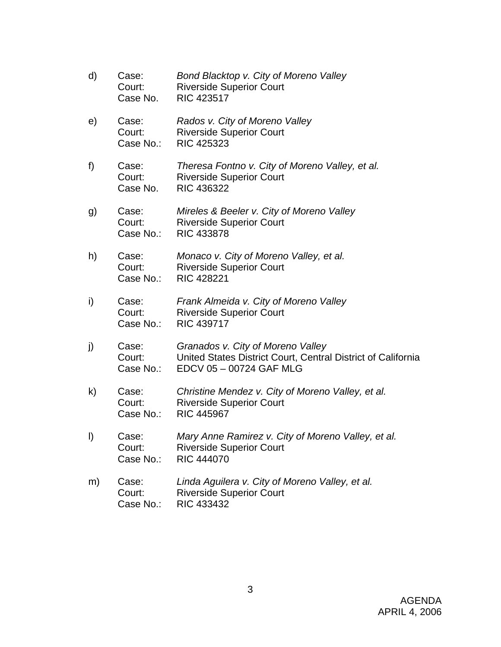| d) | Case:<br>Court:<br>Case No.  | Bond Blacktop v. City of Moreno Valley<br><b>Riverside Superior Court</b><br><b>RIC 423517</b>                               |
|----|------------------------------|------------------------------------------------------------------------------------------------------------------------------|
| e) | Case:<br>Court:<br>Case No.: | Rados v. City of Moreno Valley<br><b>Riverside Superior Court</b><br>RIC 425323                                              |
| f) | Case:<br>Court:<br>Case No.  | Theresa Fontno v. City of Moreno Valley, et al.<br><b>Riverside Superior Court</b><br><b>RIC 436322</b>                      |
| g) | Case:<br>Court:<br>Case No.: | Mireles & Beeler v. City of Moreno Valley<br><b>Riverside Superior Court</b><br><b>RIC 433878</b>                            |
| h) | Case:<br>Court:<br>Case No.: | Monaco v. City of Moreno Valley, et al.<br><b>Riverside Superior Court</b><br><b>RIC 428221</b>                              |
| i) | Case:<br>Court:<br>Case No.: | Frank Almeida v. City of Moreno Valley<br><b>Riverside Superior Court</b><br><b>RIC 439717</b>                               |
| j) | Case:<br>Court:<br>Case No.: | Granados v. City of Moreno Valley<br>United States District Court, Central District of California<br>EDCV 05 - 00724 GAF MLG |
| k) | Case:<br>Court:<br>Case No.: | Christine Mendez v. City of Moreno Valley, et al.<br><b>Riverside Superior Court</b><br><b>RIC 445967</b>                    |
| I) | Case:<br>Court:<br>Case No.: | Mary Anne Ramirez v. City of Moreno Valley, et al.<br><b>Riverside Superior Court</b><br><b>RIC 444070</b>                   |
| m) | Case:<br>Court:<br>Case No.: | Linda Aguilera v. City of Moreno Valley, et al.<br><b>Riverside Superior Court</b><br>RIC 433432                             |